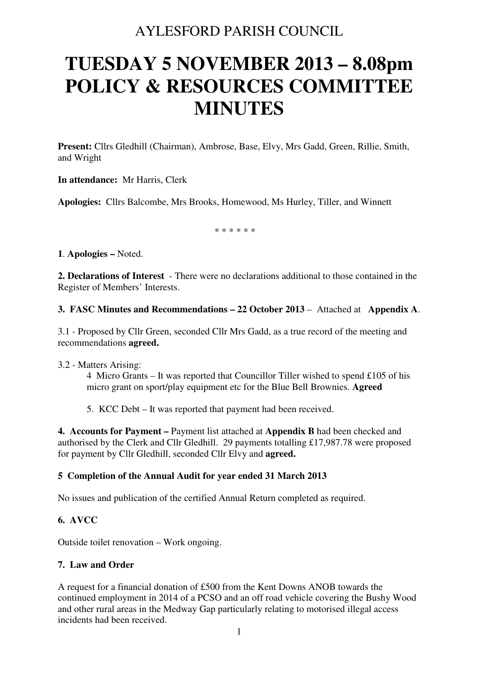# AYLESFORD PARISH COUNCIL

# **TUESDAY 5 NOVEMBER 2013 – 8.08pm POLICY & RESOURCES COMMITTEE MINUTES**

**Present:** Cllrs Gledhill (Chairman), Ambrose, Base, Elvy, Mrs Gadd, Green, Rillie, Smith, and Wright

**In attendance:** Mr Harris, Clerk

**Apologies:** Cllrs Balcombe, Mrs Brooks, Homewood, Ms Hurley, Tiller, and Winnett

\* \* \* \* \* \*

**1**. **Apologies –** Noted.

**2. Declarations of Interest** - There were no declarations additional to those contained in the Register of Members' Interests.

# **3. FASC Minutes and Recommendations – 22 October 2013** – Attached at **Appendix A**.

3.1 - Proposed by Cllr Green, seconded Cllr Mrs Gadd, as a true record of the meeting and recommendations **agreed.** 

3.2 - Matters Arising:

4 Micro Grants – It was reported that Councillor Tiller wished to spend £105 of his micro grant on sport/play equipment etc for the Blue Bell Brownies. **Agreed** 

5. KCC Debt – It was reported that payment had been received.

**4. Accounts for Payment –** Payment list attached at **Appendix B** had been checked and authorised by the Clerk and Cllr Gledhill. 29 payments totalling £17,987.78 were proposed for payment by Cllr Gledhill, seconded Cllr Elvy and **agreed.** 

# **5 Completion of the Annual Audit for year ended 31 March 2013**

No issues and publication of the certified Annual Return completed as required.

# **6. AVCC**

Outside toilet renovation – Work ongoing.

# **7. Law and Order**

A request for a financial donation of £500 from the Kent Downs ANOB towards the continued employment in 2014 of a PCSO and an off road vehicle covering the Bushy Wood and other rural areas in the Medway Gap particularly relating to motorised illegal access incidents had been received.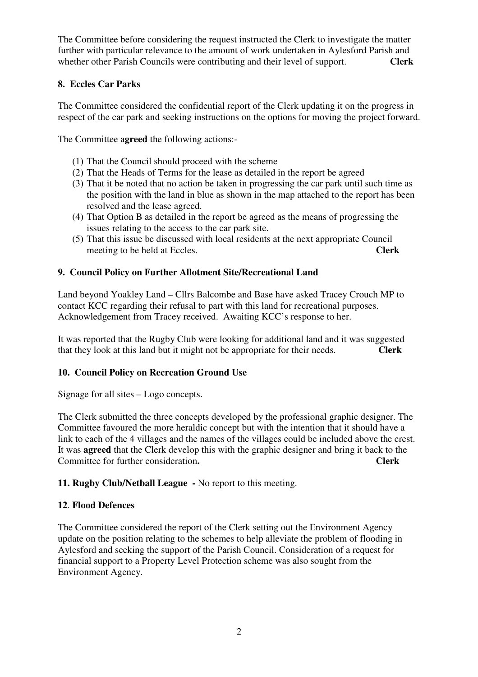The Committee before considering the request instructed the Clerk to investigate the matter further with particular relevance to the amount of work undertaken in Aylesford Parish and whether other Parish Councils were contributing and their level of support. **Clerk** 

# **8. Eccles Car Parks**

The Committee considered the confidential report of the Clerk updating it on the progress in respect of the car park and seeking instructions on the options for moving the project forward.

The Committee a**greed** the following actions:-

- (1) That the Council should proceed with the scheme
- (2) That the Heads of Terms for the lease as detailed in the report be agreed
- (3) That it be noted that no action be taken in progressing the car park until such time as the position with the land in blue as shown in the map attached to the report has been resolved and the lease agreed.
- (4) That Option B as detailed in the report be agreed as the means of progressing the issues relating to the access to the car park site.
- (5) That this issue be discussed with local residents at the next appropriate Council meeting to be held at Eccles. **Clerk**

#### **9. Council Policy on Further Allotment Site/Recreational Land**

Land beyond Yoakley Land – Cllrs Balcombe and Base have asked Tracey Crouch MP to contact KCC regarding their refusal to part with this land for recreational purposes. Acknowledgement from Tracey received. Awaiting KCC's response to her.

It was reported that the Rugby Club were looking for additional land and it was suggested that they look at this land but it might not be appropriate for their needs. **Clerk** 

# **10. Council Policy on Recreation Ground Use**

Signage for all sites – Logo concepts.

The Clerk submitted the three concepts developed by the professional graphic designer. The Committee favoured the more heraldic concept but with the intention that it should have a link to each of the 4 villages and the names of the villages could be included above the crest. It was **agreed** that the Clerk develop this with the graphic designer and bring it back to the Committee for further consideration**. Clerk** 

# **11. Rugby Club/Netball League -** No report to this meeting.

#### **12**. **Flood Defences**

The Committee considered the report of the Clerk setting out the Environment Agency update on the position relating to the schemes to help alleviate the problem of flooding in Aylesford and seeking the support of the Parish Council. Consideration of a request for financial support to a Property Level Protection scheme was also sought from the Environment Agency.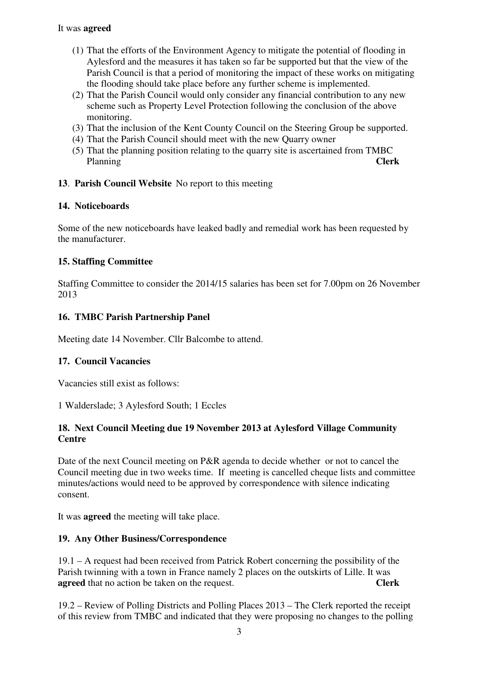# It was **agreed**

- (1) That the efforts of the Environment Agency to mitigate the potential of flooding in Aylesford and the measures it has taken so far be supported but that the view of the Parish Council is that a period of monitoring the impact of these works on mitigating the flooding should take place before any further scheme is implemented.
- (2) That the Parish Council would only consider any financial contribution to any new scheme such as Property Level Protection following the conclusion of the above monitoring.
- (3) That the inclusion of the Kent County Council on the Steering Group be supported.
- (4) That the Parish Council should meet with the new Quarry owner
- (5) That the planning position relating to the quarry site is ascertained from TMBC Planning **Clerk**

# **13**. **Parish Council Website** No report to this meeting

# **14. Noticeboards**

Some of the new noticeboards have leaked badly and remedial work has been requested by the manufacturer.

# **15. Staffing Committee**

Staffing Committee to consider the 2014/15 salaries has been set for 7.00pm on 26 November 2013

# **16. TMBC Parish Partnership Panel**

Meeting date 14 November. Cllr Balcombe to attend.

# **17. Council Vacancies**

Vacancies still exist as follows:

1 Walderslade; 3 Aylesford South; 1 Eccles

# **18. Next Council Meeting due 19 November 2013 at Aylesford Village Community Centre**

Date of the next Council meeting on P&R agenda to decide whether or not to cancel the Council meeting due in two weeks time. If meeting is cancelled cheque lists and committee minutes/actions would need to be approved by correspondence with silence indicating consent.

It was **agreed** the meeting will take place.

# **19. Any Other Business/Correspondence**

19.1 – A request had been received from Patrick Robert concerning the possibility of the Parish twinning with a town in France namely 2 places on the outskirts of Lille. It was **agreed** that no action be taken on the request. **Clerk**

19.2 – Review of Polling Districts and Polling Places 2013 – The Clerk reported the receipt of this review from TMBC and indicated that they were proposing no changes to the polling